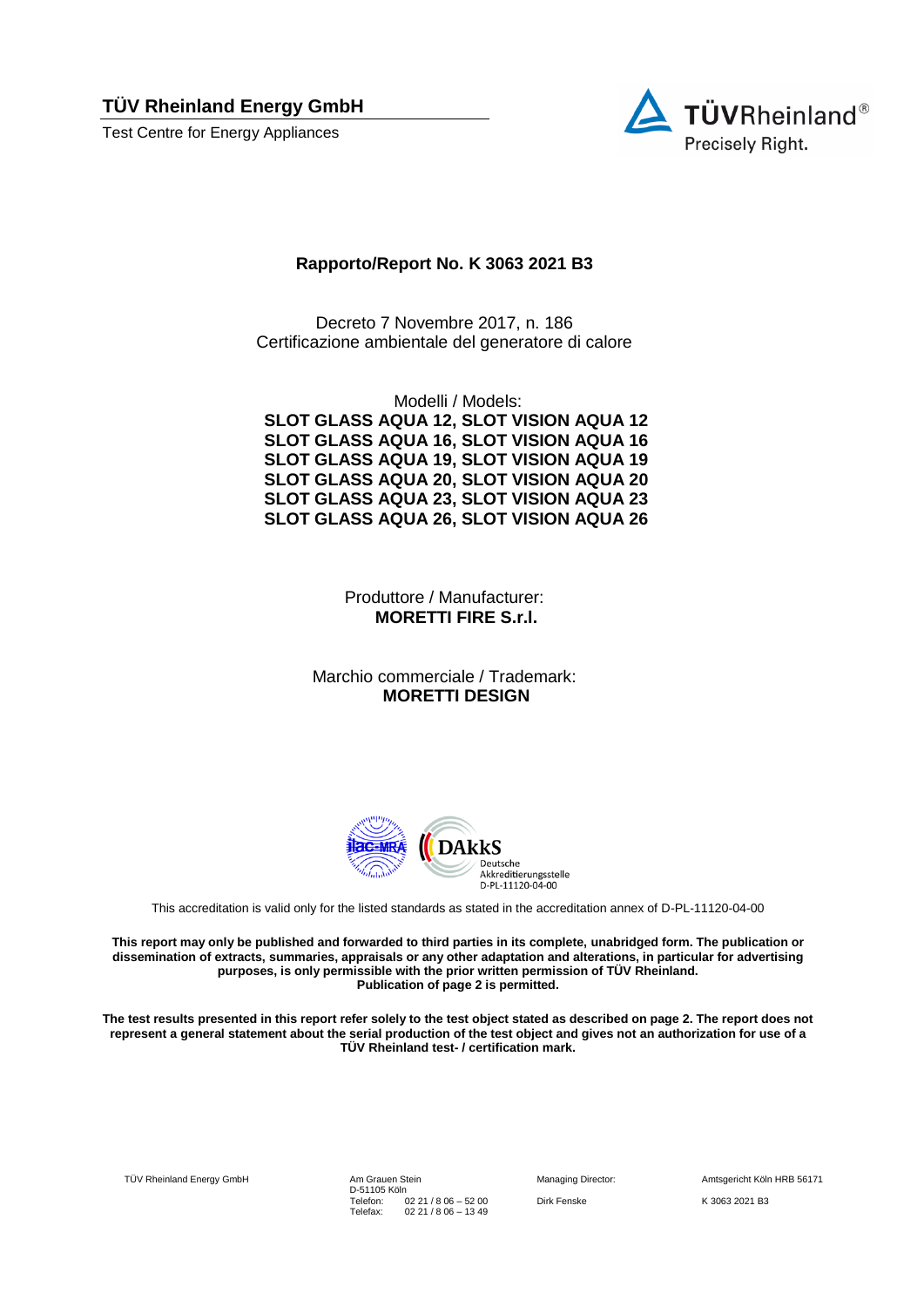**TÜV Rheinland Energy GmbH** 

Test Centre for Energy Appliances



## **Rapporto/Report No. K 3063 2021 B3**

Decreto 7 Novembre 2017, n. 186 Certificazione ambientale del generatore di calore

Modelli / Models: **SLOT GLASS AQUA 12, SLOT VISION AQUA 12 SLOT GLASS AQUA 16, SLOT VISION AQUA 16 SLOT GLASS AQUA 19, SLOT VISION AQUA 19 SLOT GLASS AQUA 20, SLOT VISION AQUA 20 SLOT GLASS AQUA 23, SLOT VISION AQUA 23 SLOT GLASS AQUA 26, SLOT VISION AQUA 26**

> Produttore / Manufacturer: **MORETTI FIRE S.r.l.**

Marchio commerciale / Trademark: **MORETTI DESIGN**



This accreditation is valid only for the listed standards as stated in the accreditation annex of D-PL-11120-04-00

**This report may only be published and forwarded to third parties in its complete, unabridged form. The publication or dissemination of extracts, summaries, appraisals or any other adaptation and alterations, in particular for advertising purposes, is only permissible with the prior written permission of TÜV Rheinland. Publication of page 2 is permitted.**

**The test results presented in this report refer solely to the test object stated as described on page 2. The report does not represent a general statement about the serial production of the test object and gives not an authorization for use of a TÜV Rheinland test- / certification mark.**

TÜV Rheinland Energy GmbH Am Grauen Stein

D-51105 Köln Telefon: Telefax: 02 21 / 8 06 – 52 00 02 21 / 8 06 – 13 49

Managing Director: Amtsgericht Köln HRB 56171 Dirk Fenske K 3063 2021 B3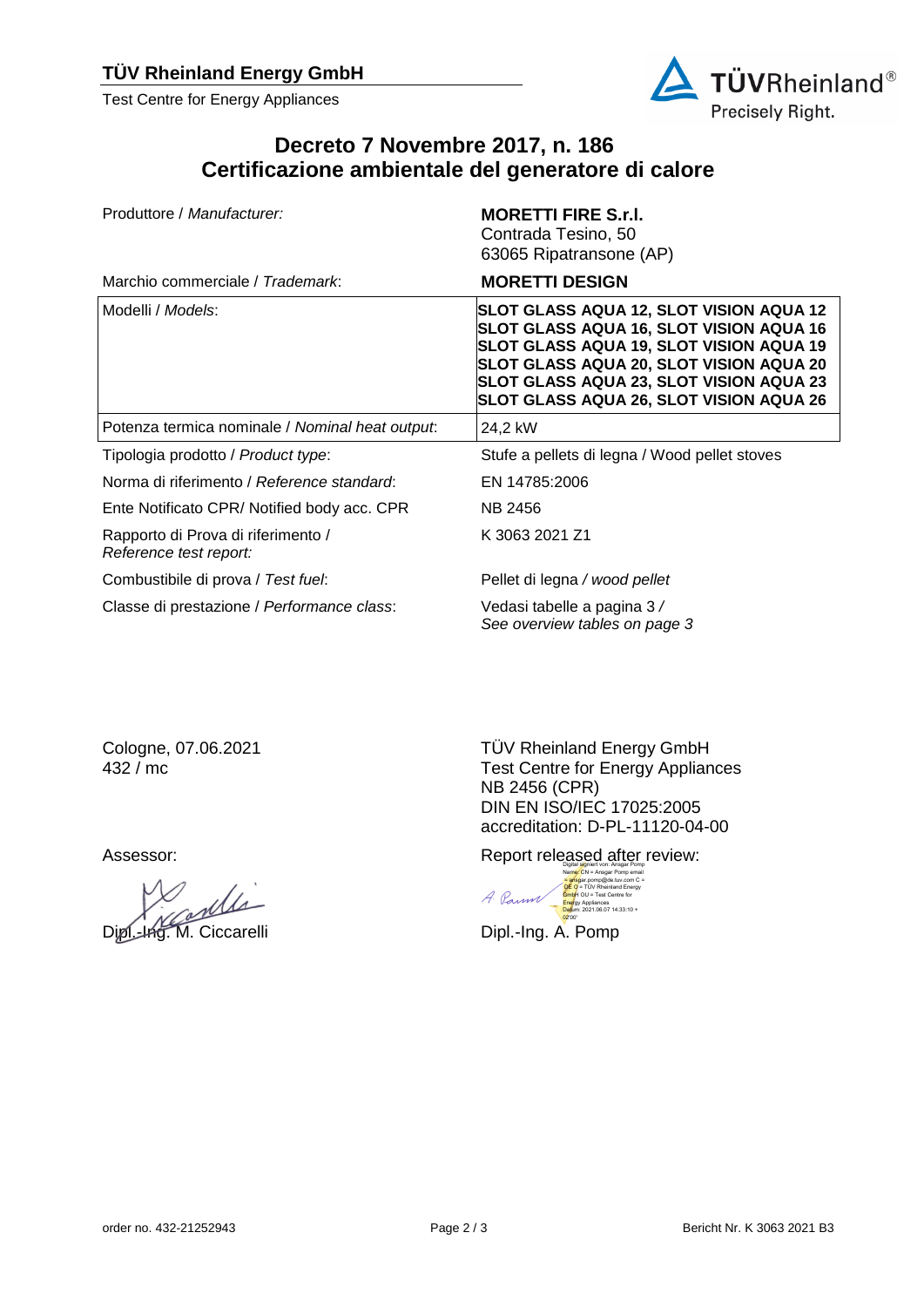Test Centre for Energy Appliances



## **Decreto 7 Novembre 2017, n. 186 Certificazione ambientale del generatore di calore**

| Produttore / Manufacturer:                                   | <b>MORETTI FIRE S.r.I.</b><br>Contrada Tesino, 50<br>63065 Ripatransone (AP)                                                                                                                                                                                   |  |  |  |
|--------------------------------------------------------------|----------------------------------------------------------------------------------------------------------------------------------------------------------------------------------------------------------------------------------------------------------------|--|--|--|
| Marchio commerciale / Trademark:                             | <b>MORETTI DESIGN</b>                                                                                                                                                                                                                                          |  |  |  |
| Modelli / <i>Models</i> :                                    | SLOT GLASS AQUA 12, SLOT VISION AQUA 12<br>SLOT GLASS AQUA 16, SLOT VISION AQUA 16<br>SLOT GLASS AQUA 19, SLOT VISION AQUA 19<br>SLOT GLASS AQUA 20, SLOT VISION AQUA 20<br>SLOT GLASS AQUA 23, SLOT VISION AQUA 23<br>SLOT GLASS AQUA 26, SLOT VISION AQUA 26 |  |  |  |
| Potenza termica nominale / Nominal heat output.              | 24,2 kW                                                                                                                                                                                                                                                        |  |  |  |
| Tipologia prodotto / Product type:                           | Stufe a pellets di legna / Wood pellet stoves                                                                                                                                                                                                                  |  |  |  |
| Norma di riferimento / Reference standard:                   | EN 14785:2006                                                                                                                                                                                                                                                  |  |  |  |
| Ente Notificato CPR/Notified body acc. CPR                   | NB 2456                                                                                                                                                                                                                                                        |  |  |  |
| Rapporto di Prova di riferimento /<br>Reference test report: | K 3063 2021 Z1                                                                                                                                                                                                                                                 |  |  |  |
| Combustibile di prova / Test fuel:                           | Pellet di legna / wood pellet                                                                                                                                                                                                                                  |  |  |  |
| Classe di prestazione / Performance class:                   | Vedasi tabelle a pagina 3 /<br>See overview tables on page 3                                                                                                                                                                                                   |  |  |  |

Cologne, 07.06.2021 432 / mc

TÜV Rheinland Energy GmbH Test Centre for Energy Appliances NB 2456 (CPR) DIN EN ISO/IEC 17025:2005 accreditation: D-PL-11120-04-00

Assessor: **Report released after review:** Report released after review:



Willi

Dipl.-Ing. M. Ciccarelli Dipl.-Ing. A. Pomp